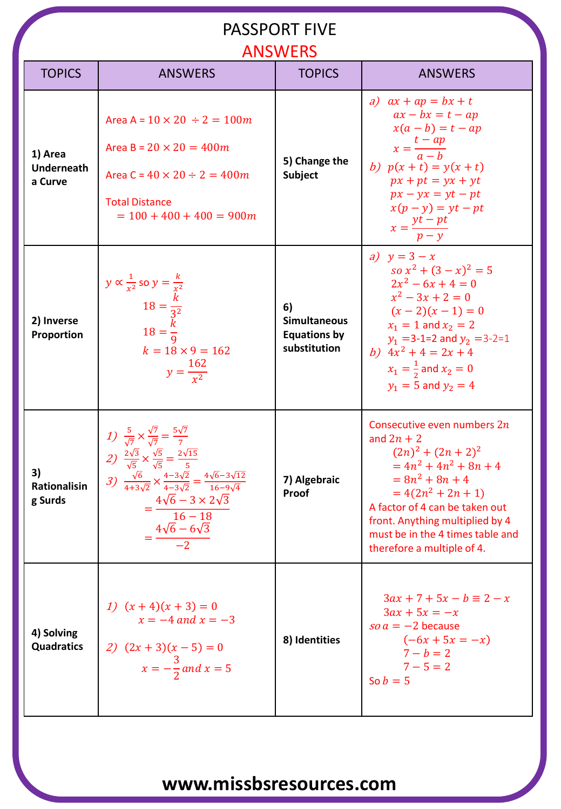#### PASSPORT FIVE

#### ANSWERS

| <b>TOPICS</b>                           | <b>ANSWERS</b>                                                                                                                                                                                                                                                                                                                                                                      | <b>ANSWERS</b><br><b>TOPICS</b>                                  | <b>ANSWERS</b>                                                                                                                                                                                                                                                                    |
|-----------------------------------------|-------------------------------------------------------------------------------------------------------------------------------------------------------------------------------------------------------------------------------------------------------------------------------------------------------------------------------------------------------------------------------------|------------------------------------------------------------------|-----------------------------------------------------------------------------------------------------------------------------------------------------------------------------------------------------------------------------------------------------------------------------------|
| 1) Area<br><b>Underneath</b><br>a Curve | Area A = $10 \times 20 \div 2 = 100m$<br>Area B = $20 \times 20 = 400m$<br>Area C = $40 \times 20 \div 2 = 400m$<br><b>Total Distance</b><br>$= 100 + 400 + 400 = 900m$                                                                                                                                                                                                             | 5) Change the<br><b>Subject</b>                                  | a) $ax + ap = bx + t$<br>$ax - bx = t - ap$<br>$x(a - b) = t - ap$<br>$x = \frac{t - ap}{a - h}$<br>b) $p(x + t) = y(x + t)$<br>$px + pt = yx + yt$<br>$px - yx = yt - pt$<br>$x(p - y) = yt - pt$<br>$x = \frac{yt - pt}{p - y}$                                                 |
| 2) Inverse<br>Proportion                | $y \propto \frac{1}{x^2}$ so $y = \frac{k}{x^2}$<br>$18 = \frac{k}{3^2}$<br>$18 = \frac{k}{9}$<br>$k = 18 \times 9 = 162$<br>$y = \frac{162}{x^2}$                                                                                                                                                                                                                                  | 6)<br><b>Simultaneous</b><br><b>Equations by</b><br>substitution | a) $y = 3 - x$<br>$\int \sqrt{3-x^2 + (3-x)^2} = 5$<br>$2x^2-6x+4=0$<br>$x^2-3x+2=0$<br>$(x-2)(x-1)=0$<br>$x_1 = 1$ and $x_2 = 2$<br>$y_1$ =3-1=2 and $y_2$ =3-2=1<br>b) $4x^2 + 4 = 2x + 4$<br>$x_1 = \frac{1}{2}$ and $x_2 = 0$<br>$y_1 = 5$ and $y_2 = 4$                      |
| 3)<br>Rationalisin<br>g Surds           | 1) $\frac{5}{\sqrt{7}} \times \frac{\sqrt{7}}{\sqrt{7}} = \frac{5\sqrt{7}}{7}$<br>2) $\frac{2\sqrt{3}}{\sqrt{5}} \times \frac{\sqrt{5}}{\sqrt{5}} = \frac{2\sqrt{15}}{5}$<br>3) $\frac{\sqrt{6}}{4+3\sqrt{2}} \times \frac{4-3\sqrt{2}}{4-3\sqrt{2}} = \frac{4\sqrt{6}-3\sqrt{12}}{16-9\sqrt{4}}$<br>$4\sqrt{6}-3\times 2\sqrt{3}$<br>$16 - 18$<br>$=\frac{4\sqrt{6}-6\sqrt{3}}{2}$ | 7) Algebraic<br>Proof                                            | Consecutive even numbers $2n$<br>and $2n + 2$<br>$(2n)^2 + (2n + 2)^2$<br>$= 4n^2 + 4n^2 + 8n + 4$<br>$= 8n^2 + 8n + 4$<br>$=4(2n^2+2n+1)$<br>A factor of 4 can be taken out<br>front. Anything multiplied by 4<br>must be in the 4 times table and<br>therefore a multiple of 4. |
| 4) Solving<br><b>Quadratics</b>         | 1) $(x+4)(x+3) = 0$<br>$x = -4$ and $x = -3$<br>2) $(2x + 3)(x - 5) = 0$<br>$x = -\frac{3}{2}$ and $x = 5$                                                                                                                                                                                                                                                                          | 8) Identities                                                    | $3ax + 7 + 5x - b \equiv 2 - x$<br>$3ax + 5x = -x$<br>$\sin a = -2$ because<br>$(-6x + 5x = -x)$<br>$7-b=2$<br>$7 - 5 = 2$<br>So $b=5$                                                                                                                                            |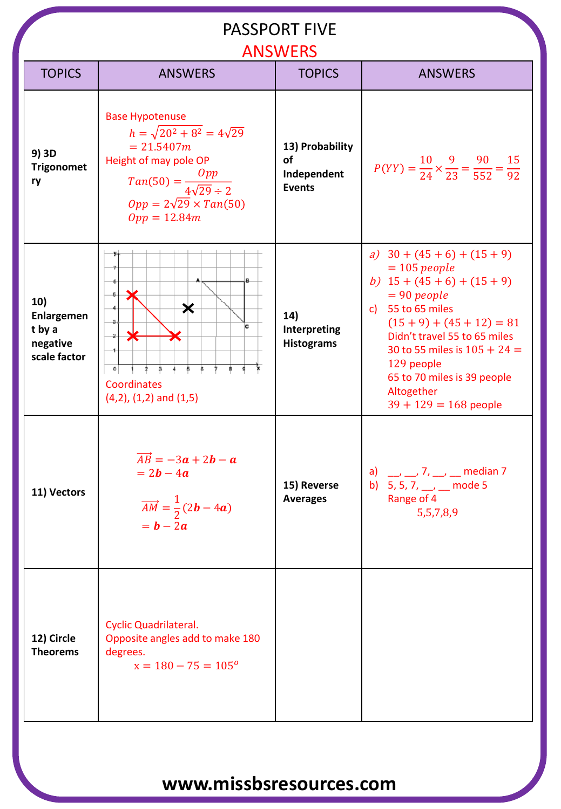#### PASSPORT FIVE

| <b>ANSWERS</b>                                          |                                                                                                                                                                                                             |                                                       |                                                                                                                                                                                                                                                                                                               |  |  |  |  |
|---------------------------------------------------------|-------------------------------------------------------------------------------------------------------------------------------------------------------------------------------------------------------------|-------------------------------------------------------|---------------------------------------------------------------------------------------------------------------------------------------------------------------------------------------------------------------------------------------------------------------------------------------------------------------|--|--|--|--|
| <b>TOPICS</b>                                           | <b>ANSWERS</b>                                                                                                                                                                                              | <b>TOPICS</b>                                         | <b>ANSWERS</b>                                                                                                                                                                                                                                                                                                |  |  |  |  |
| 9) 3D<br><b>Trigonomet</b><br>ry                        | <b>Base Hypotenuse</b><br>$h = \sqrt{20^2 + 8^2} = 4\sqrt{29}$<br>$= 21.5407m$<br>Height of may pole OP<br>$Tan(50) = \frac{Opp}{4\sqrt{29} \div 2}$<br>$Opp = 2\sqrt{29} \times Tan(50)$<br>$Opp = 12.84m$ | 13) Probability<br>of<br>Independent<br><b>Events</b> | $P(YY) = \frac{10}{24} \times \frac{9}{23} = \frac{90}{552} = \frac{15}{92}$                                                                                                                                                                                                                                  |  |  |  |  |
| 10)<br>Enlargemen<br>t by a<br>negative<br>scale factor | $\bm{\varkappa}$<br>c<br>⋇<br>$\rightarrow$<br>$\frac{1}{2}$<br>$\frac{1}{2}$<br>$\mathbf{0}$<br>$\frac{1}{2}$<br>ô<br>\$.<br>9<br>Coordinates<br>$(4,2)$ , $(1,2)$ and $(1,5)$                             | 14)<br>Interpreting<br><b>Histograms</b>              | a) $30 + (45 + 6) + (15 + 9)$<br>$= 105$ people<br>b) $15 + (45 + 6) + (15 + 9)$<br>$= 90$ people<br>c) 55 to 65 miles<br>$(15 + 9) + (45 + 12) = 81$<br>Didn't travel 55 to 65 miles<br>30 to 55 miles is $105 + 24 =$<br>129 people<br>65 to 70 miles is 39 people<br>Altogether<br>$39 + 129 = 168$ people |  |  |  |  |
| 11) Vectors                                             | $\overrightarrow{AB} = -3a + 2b - a$<br>$= 2b - 4a$<br>$\overrightarrow{AM} = \frac{1}{2}(2\mathbf{b} - 4\mathbf{a})$<br>$= b - 2a$                                                                         | 15) Reverse<br><b>Averages</b>                        | a) __, __, 7, __, __ median 7<br>b) 5, 5, 7, __, __ mode 5<br>Range of 4<br>5,5,7,8,9                                                                                                                                                                                                                         |  |  |  |  |
| 12) Circle<br><b>Theorems</b>                           | <b>Cyclic Quadrilateral.</b><br>Opposite angles add to make 180<br>degrees.<br>$x = 180 - 75 = 105^{\circ}$                                                                                                 |                                                       |                                                                                                                                                                                                                                                                                                               |  |  |  |  |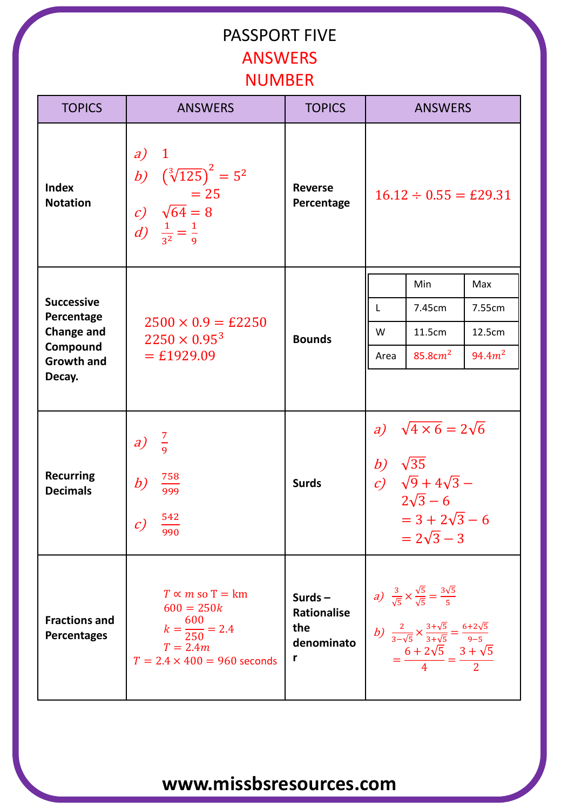## PASSPORT FIVE **ANSWERS NUMBER**

| <b>TOPICS</b>                              | <b>ANSWERS</b>                                                                                                             | <b>TOPICS</b>                                             | <b>ANSWERS</b>                                                                                                                                       |                                                                                                                                                                                                                             |                     |
|--------------------------------------------|----------------------------------------------------------------------------------------------------------------------------|-----------------------------------------------------------|------------------------------------------------------------------------------------------------------------------------------------------------------|-----------------------------------------------------------------------------------------------------------------------------------------------------------------------------------------------------------------------------|---------------------|
| <b>Index</b><br><b>Notation</b>            | a)<br>$\mathbf{1}$<br>b) $(\sqrt[3]{125})^2 = 5^2$<br>$= 25$<br>c) $\sqrt{64} = 8$<br>d) $\frac{1}{3^2} = \frac{1}{9}$     | <b>Reverse</b><br>Percentage                              | $16.12 \div 0.55 = \text{\pounds}29.31$                                                                                                              |                                                                                                                                                                                                                             |                     |
|                                            | $2500 \times 0.9 = \text{\pounds}2250$<br>$2250 \times 0.95^{3}$<br>$=$ £1929.09                                           |                                                           |                                                                                                                                                      | Min                                                                                                                                                                                                                         | Max                 |
| <b>Successive</b><br>Percentage            |                                                                                                                            |                                                           | $\mathsf{L}$                                                                                                                                         | 7.45cm                                                                                                                                                                                                                      | 7.55cm              |
| <b>Change and</b><br>Compound              |                                                                                                                            | <b>Bounds</b>                                             | W                                                                                                                                                    | 11.5cm                                                                                                                                                                                                                      | 12.5cm              |
| <b>Growth and</b>                          |                                                                                                                            |                                                           | Area                                                                                                                                                 | 85.8 $cm2$                                                                                                                                                                                                                  | 94.4 m <sup>2</sup> |
| Decay.                                     |                                                                                                                            |                                                           |                                                                                                                                                      |                                                                                                                                                                                                                             |                     |
| <b>Recurring</b><br><b>Decimals</b>        | $\frac{7}{9}$<br>a)<br>758<br>b)<br>999<br>542<br>$\mathcal{C}$<br>990                                                     | <b>Surds</b>                                              | a) $\sqrt{4 \times 6} = 2\sqrt{6}$<br>b) $\sqrt{35}$<br>c) $\sqrt{9} + 4\sqrt{3}$ –<br>$2\sqrt{3} - 6$<br>$= 3 + 2\sqrt{3} - 6$<br>$= 2\sqrt{3} - 3$ |                                                                                                                                                                                                                             |                     |
| <b>Fractions and</b><br><b>Percentages</b> | $T \propto m$ so T = km<br>$600 = 250k$<br>$k = \frac{600}{250} = 2.4$<br>$T = 2.4m$<br>$T = 2.4 \times 400 = 960$ seconds | Surds $-$<br><b>Rationalise</b><br>the<br>denominato<br>r |                                                                                                                                                      | a) $\frac{3}{\sqrt{5}} \times \frac{\sqrt{5}}{\sqrt{5}} = \frac{3\sqrt{5}}{5}$<br>b) $\frac{2}{3-\sqrt{5}} \times \frac{3+\sqrt{5}}{3+\sqrt{5}} = \frac{6+2\sqrt{5}}{9-5}$<br>$=\frac{6+2\sqrt{5}}{4}=\frac{3+\sqrt{5}}{2}$ |                     |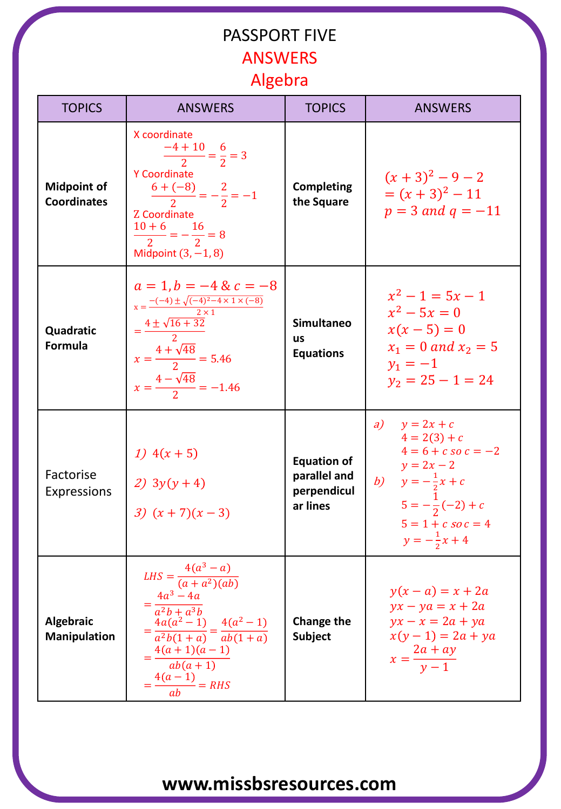## PASSPORT FIVE **ANSWERS** Algebra

| <b>TOPICS</b>                            | <b>ANSWERS</b>                                                                                                                                                                                                      | <b>TOPICS</b>                                                 | <b>ANSWERS</b>                                                                                                                                                                           |  |  |
|------------------------------------------|---------------------------------------------------------------------------------------------------------------------------------------------------------------------------------------------------------------------|---------------------------------------------------------------|------------------------------------------------------------------------------------------------------------------------------------------------------------------------------------------|--|--|
| <b>Midpoint of</b><br><b>Coordinates</b> | X coordinate<br>$\frac{-4+10}{2} = \frac{6}{2} = 3$<br><b>Y Coordinate</b><br>$\frac{6+(-8)}{2}=-\frac{2}{2}=-1$<br>Z Coordinate<br>$\frac{10+6}{2} = -\frac{16}{2} = 8$<br>Midpoint $(3, -1, 8)$                   | <b>Completing</b><br>the Square                               | $(x+3)^2-9-2$<br>$=(x+3)^2-11$<br>$p = 3$ and $q = -11$                                                                                                                                  |  |  |
| Quadratic<br>Formula                     | $a = 1, b = -4$ & $c = -8$<br>$x = \frac{-(-4) \pm \sqrt{(-4)^2 - 4 \times 1 \times (-8)}}{2 \times 1}$<br>$=\frac{4\pm\sqrt{16+32}}{2}$<br>$x = \frac{4 + \sqrt{48}}{2} = 5.46$<br>$x=\frac{4-\sqrt{48}}{2}=-1.46$ | <b>Simultaneo</b><br><b>us</b><br><b>Equations</b>            | $x^2-1=5x-1$<br>$x^2 - 5x = 0$<br>$x(x-5) = 0$<br>$x_1 = 0$ and $x_2 = 5$<br>$y_1 = -1$<br>$y_2 = 25 - 1 = 24$                                                                           |  |  |
| Factorise<br>Expressions                 | 1) $4(x + 5)$<br>2) $3y(y+4)$<br>3) $(x + 7)(x - 3)$                                                                                                                                                                | <b>Equation of</b><br>parallel and<br>perpendicul<br>ar lines | a)<br>$y = 2x + c$<br>$4 = 2(3) + c$<br>$4 = 6 + c$ so $c = -2$<br>$y = 2x - 2$<br>b) $y = -\frac{1}{2}x + c$<br>$5=-\frac{1}{2}(-2)+c$<br>$5 = 1 + c$ so $c = 4$<br>$y=-\frac{1}{2}x+4$ |  |  |
| Algebraic<br><b>Manipulation</b>         | $LHS = \frac{4(a^3 - a)}{(a + a^2)(ab)}$<br>$=\frac{4a^3-4a}{a^2b+a^3b}$<br>$=\frac{4a(a^2-1)}{a^2b(1+a)}=\frac{4(a^2-1)}{ab(1+a)}$<br>$\frac{4(a+1)(a-1)}{ab(a+1)}$<br>$=\frac{4(a-1)}{ab}=RHS$                    | <b>Change the</b><br><b>Subject</b>                           | $y(x - a) = x + 2a$<br>$yx - ya = x + 2a$<br>$yx - x = 2a + ya$<br>$x(y-1) = 2a + ya$<br>$x = \frac{2a + ay}{y - 1}$                                                                     |  |  |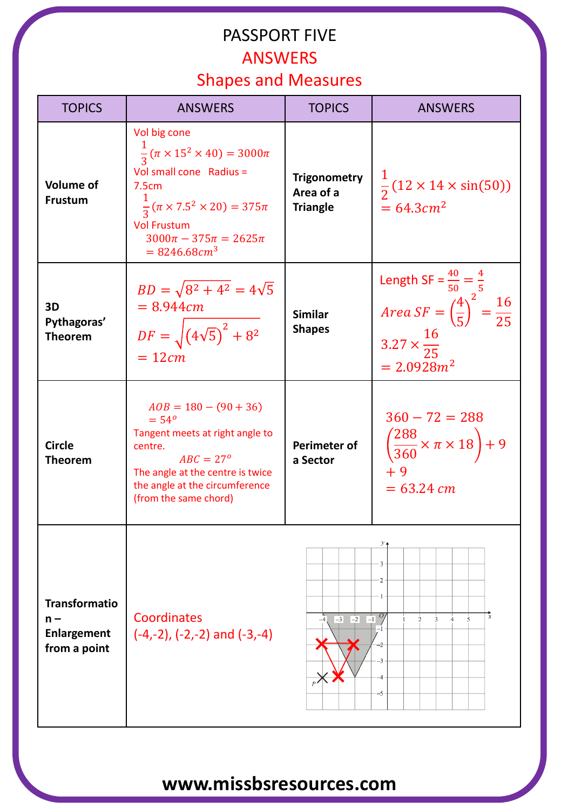#### PASSPORT FIVE ANSWERS

## Shapes and Measures

| <b>TOPICS</b>                                                | <b>ANSWERS</b>                                                                                                                                                                                                                                    | <b>TOPICS</b>                                       | <b>ANSWERS</b>                                                                                                                            |  |  |
|--------------------------------------------------------------|---------------------------------------------------------------------------------------------------------------------------------------------------------------------------------------------------------------------------------------------------|-----------------------------------------------------|-------------------------------------------------------------------------------------------------------------------------------------------|--|--|
| <b>Volume of</b><br><b>Frustum</b>                           | Vol big cone<br>$\frac{1}{3}(\pi \times 15^2 \times 40) = 3000\pi$<br>Vol small cone Radius =<br>7.5cm<br>$\frac{1}{2}(\pi \times 7.5^2 \times 20) = 375\pi$<br><b>Vol Frustum</b><br>$3000\pi - 375\pi = 2625\pi$<br>$= 8246.68$ cm <sup>3</sup> | <b>Trigonometry</b><br>Area of a<br><b>Triangle</b> | $\frac{1}{2}$ (12 × 14 × sin(50))<br>$= 64.3 cm2$                                                                                         |  |  |
| 3D<br>Pythagoras'<br><b>Theorem</b>                          | $BD = \sqrt{8^2 + 4^2} = 4\sqrt{5}$<br>$= 8.944cm$<br>$DF = \sqrt{(4\sqrt{5})^2 + 8^2}$<br>$= 12cm$                                                                                                                                               | <b>Similar</b><br><b>Shapes</b>                     | Length SF = $\frac{40}{50} = \frac{4}{5}$<br>Area SF = $(\frac{4}{5})^2 = \frac{16}{25}$<br>$3.27 \times \frac{16}{25}$<br>$= 2.0928 m^2$ |  |  |
| <b>Circle</b><br><b>Theorem</b>                              | $AOB = 180 - (90 + 36)$<br>$= 54^{\circ}$<br>Tangent meets at right angle to<br>centre.<br>$ABC = 27^{\circ}$<br>The angle at the centre is twice<br>the angle at the circumference<br>(from the same chord)                                      | Perimeter of<br>a Sector                            | $360 - 72 = 288$<br>$\left(\frac{288}{360}\times\pi\times18\right)+9$<br>$+9$<br>$= 63.24$ cm                                             |  |  |
| <b>Transformatio</b><br>$n -$<br>Enlargement<br>from a point | Coordinates<br>$(-4,-2)$ , $(-2,-2)$ and $(-3,-4)$                                                                                                                                                                                                | $-3$ $-2$                                           | 3<br>x<br>$\Box$ <sup>0</sup><br>$\overline{5}$<br>$\overline{2}$<br>3                                                                    |  |  |